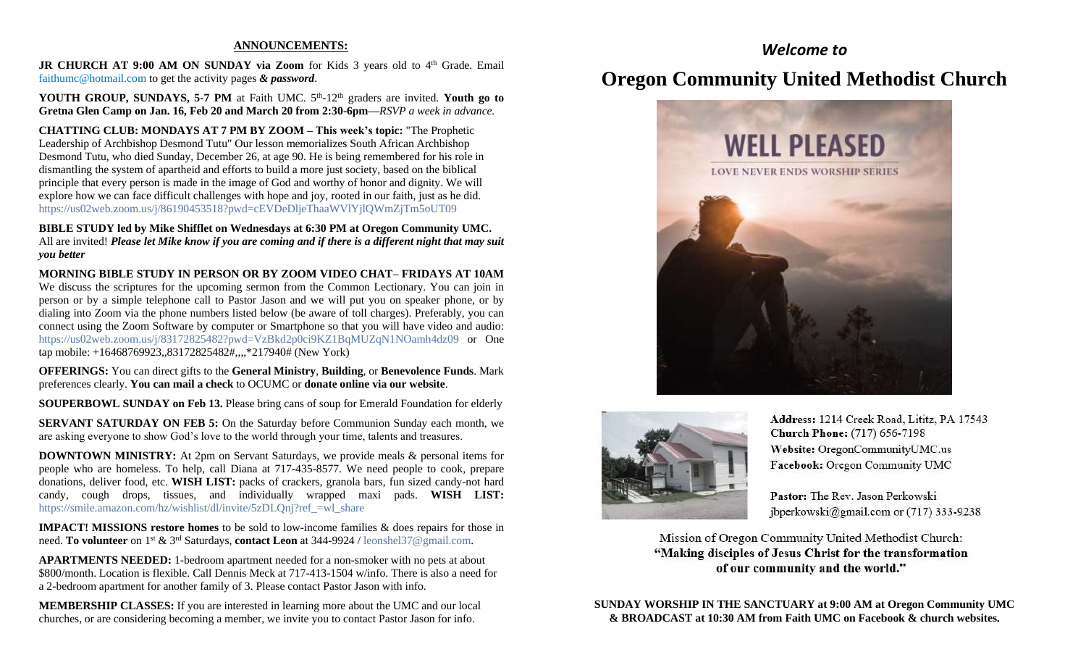### **ANNOUNCEMENTS:**

JR CHURCH AT 9:00 AM ON SUNDAY via Zoom for Kids 3 years old to 4<sup>th</sup> Grade. Email [faithumc@hotmail.com](about:blank) to get the activity pages *& password*.

YOUTH GROUP, SUNDAYS, 5-7 PM at Faith UMC. 5<sup>th</sup>-12<sup>th</sup> graders are invited. Youth go to **Gretna Glen Camp on Jan. 16, Feb 20 and March 20 from 2:30-6pm—***RSVP a week in advance.*

**CHATTING CLUB: MONDAYS AT 7 PM BY ZOOM – This week's topic:** "The Prophetic Leadership of Archbishop Desmond Tutu" Our lesson memorializes South African Archbishop Desmond Tutu, who died Sunday, December 26, at age 90. He is being remembered for his role in dismantling the system of apartheid and efforts to build a more just society, based on the biblical principle that every person is made in the image of God and worthy of honor and dignity. We will explore how we can face difficult challenges with hope and joy, rooted in our faith, just as he did. https://us02web.zoom.us/j/86190453518?pwd=cEVDeDljeThaaWVlYjlQWmZjTm5oUT09

**BIBLE STUDY led by Mike Shifflet on Wednesdays at 6:30 PM at Oregon Community UMC.**  All are invited! *Please let Mike know if you are coming and if there is a different night that may suit you better*

**MORNING BIBLE STUDY IN PERSON OR BY ZOOM VIDEO CHAT– FRIDAYS AT 10AM**  We discuss the scriptures for the upcoming sermon from the Common Lectionary. You can join in person or by a simple telephone call to Pastor Jason and we will put you on speaker phone, or by dialing into Zoom via the phone numbers listed below (be aware of toll charges). Preferably, you can connect using the Zoom Software by computer or Smartphone so that you will have video and audio: [https://us02web.zoom.us/j/83172825482?pwd=VzBkd2p0ci9KZ1BqMUZqN1NOamh4dz09](about:blank) or One tap mobile: +16468769923,,83172825482#,,,,\*217940# (New York)

**OFFERINGS:** You can direct gifts to the **General Ministry**, **Building**, or **Benevolence Funds**. Mark preferences clearly. **You can mail a check** to OCUMC or **donate online via our website**.

**SOUPERBOWL SUNDAY on Feb 13.** Please bring cans of soup for Emerald Foundation for elderly

**SERVANT SATURDAY ON FEB 5:** On the Saturday before Communion Sunday each month, we are asking everyone to show God's love to the world through your time, talents and treasures.

**DOWNTOWN MINISTRY:** At 2pm on Servant Saturdays, we provide meals & personal items for people who are homeless. To help, call Diana at 717-435-8577. We need people to cook, prepare donations, deliver food, etc. **WISH LIST:** packs of crackers, granola bars, fun sized candy-not hard candy, cough drops, tissues, and individually wrapped maxi pads. **WISH LIST:** [https://smile.amazon.com/hz/wishlist/dl/invite/5zDLQnj?ref\\_=wl\\_share](about:blank)

**IMPACT! MISSIONS restore homes** to be sold to low-income families & does repairs for those in need. **To volunteer** on 1st & 3rd Saturdays, **contact Leon** at 344-9924 / [leonshel37@gmail.com.](about:blank)

**APARTMENTS NEEDED:** 1-bedroom apartment needed for a non-smoker with no pets at about \$800/month. Location is flexible. Call Dennis Meck at 717-413-1504 w/info. There is also a need for a 2-bedroom apartment for another family of 3. Please contact Pastor Jason with info.

**MEMBERSHIP CLASSES:** If you are interested in learning more about the UMC and our local churches, or are considering becoming a member, we invite you to contact Pastor Jason for info.

# *Welcome to*

# **Oregon Community United Methodist Church**





Address: 1214 Creek Road, Lititz, PA 17543 **Church Phone:** (717) 656-7198 Website: OregonCommunityUMC.us Facebook: Oregon Community UMC

Pastor: The Rev. Jason Perkowski jbperkowski@gmail.com or (717) 333-9238

Mission of Oregon Community United Methodist Church: "Making disciples of Jesus Christ for the transformation of our community and the world."

**SUNDAY WORSHIP IN THE SANCTUARY at 9:00 AM at Oregon Community UMC & BROADCAST at 10:30 AM from Faith UMC on Facebook & church websites.**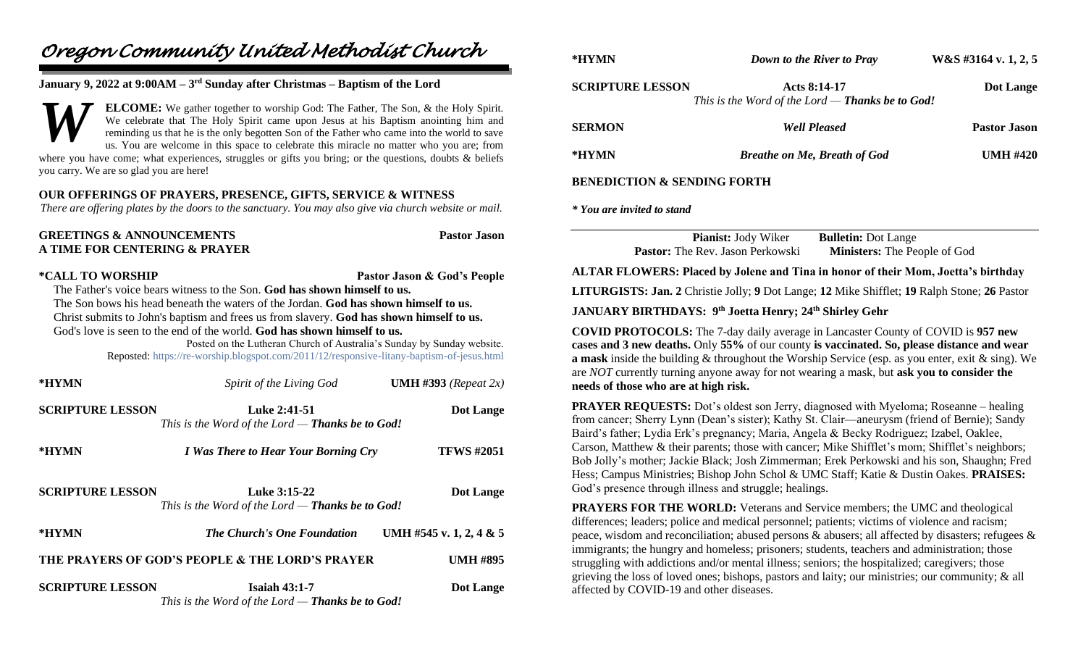# *Oregon Community United Methodist Church*

## **January 9, 2022 at 9:00AM – 3 rd Sunday after Christmas – Baptism of the Lord**

**ELCOME:** We gather together to worship God: The Father, The Son, & the Holy Spirit. We celebrate that The Holy Spirit came upon Jesus at his Baptism anointing him and reminding us that he is the only begotten Son of the Father who came into the world to save us. You are welcome in this space to celebrate this miracle no matter who you are; from where you have come; what experiences, struggles or gifts you bring; or the questions, doubts  $\&$  beliefs you carry. We are so glad you are here! *W*

## **OUR OFFERINGS OF PRAYERS, PRESENCE, GIFTS, SERVICE & WITNESS**

*There are offering plates by the doors to the sanctuary. You may also give via church website or mail.*

| <b>GREETINGS &amp; ANNOUNCEMENTS</b> | <b>Pastor Jason</b> |
|--------------------------------------|---------------------|
| A TIME FOR CENTERING & PRAYER        |                     |

**\*CALL TO WORSHIP Pastor Jason & God's People**

 The Father's voice bears witness to the Son. **God has shown himself to us.** The Son bows his head beneath the waters of the Jordan. **God has shown himself to us.** Christ submits to John's baptism and frees us from slavery. **God has shown himself to us.** God's love is seen to the end of the world. **God has shown himself to us.**

> Posted on the Lutheran Church of Australia's Sunday by Sunday website. Reposted: [https://re-worship.blogspot.com/2011/12/responsive-litany-baptism-of-jesus.html](about:blank)

| *HYMN                                                              | Spirit of the Living God                                                        | <b>UMH</b> #393 (Repeat $2x$ ) |
|--------------------------------------------------------------------|---------------------------------------------------------------------------------|--------------------------------|
| <b>SCRIPTURE LESSON</b>                                            | Luke 2:41-51<br>This is the Word of the Lord $-$ Thanks be to God!              | Dot Lange                      |
| *HYMN                                                              | <i>I Was There to Hear Your Borning Cry</i>                                     | <b>TFWS #2051</b>              |
| <b>SCRIPTURE LESSON</b>                                            | Luke 3:15-22<br>This is the Word of the Lord $-$ Thanks be to God!              | Dot Lange                      |
| *HYMN                                                              | <b>The Church's One Foundation</b>                                              | UMH #545 v. 1, 2, 4 & 5        |
| THE PRAYERS OF GOD'S PEOPLE & THE LORD'S PRAYER<br><b>UMH #895</b> |                                                                                 |                                |
| <b>SCRIPTURE LESSON</b>                                            | <b>Isaiah 43:1-7</b><br>This is the Word of the Lord — <b>Thanks be to God!</b> | Dot Lange                      |

| *HYMN                                  | <b>Down to the River to Pray</b>                                        | W&S #3164 v. 1, 2, 5 |
|----------------------------------------|-------------------------------------------------------------------------|----------------------|
| <b>SCRIPTURE LESSON</b>                | Acts 8:14-17<br>This is the Word of the Lord — <b>Thanks be to God!</b> | Dot Lange            |
| <b>SERMON</b>                          | <b>Well Pleased</b>                                                     | <b>Pastor Jason</b>  |
| *HYMN                                  | <b>Breathe on Me, Breath of God</b>                                     | <b>UMH #420</b>      |
| <b>BENEDICTION &amp; SENDING FORTH</b> |                                                                         |                      |

*\* You are invited to stand*

**Pianist:** Jody Wiker **Bulletin:** Dot Lange **Pastor:** The Rev. Jason Perkowski **Ministers:** The People of God

### **ALTAR FLOWERS: Placed by Jolene and Tina in honor of their Mom, Joetta's birthday**

**LITURGISTS: Jan. 2** Christie Jolly; **9** Dot Lange; **12** Mike Shifflet; **19** Ralph Stone; **26** Pastor

### **JANUARY BIRTHDAYS: 9 th Joetta Henry; 24th Shirley Gehr**

**COVID PROTOCOLS:** The 7-day daily average in Lancaster County of COVID is **957 new cases and 3 new deaths.** Only **55%** of our county **is vaccinated. So, please distance and wear a mask** inside the building & throughout the Worship Service (esp. as you enter, exit & sing). We are *NOT* currently turning anyone away for not wearing a mask, but **ask you to consider the needs of those who are at high risk.**

**PRAYER REQUESTS:** Dot's oldest son Jerry, diagnosed with Myeloma; Roseanne – healing from cancer; Sherry Lynn (Dean's sister); Kathy St. Clair—aneurysm (friend of Bernie); Sandy Baird's father; Lydia Erk's pregnancy; Maria, Angela & Becky Rodriguez; Izabel, Oaklee, Carson, Matthew & their parents; those with cancer; Mike Shifflet's mom; Shifflet's neighbors; Bob Jolly's mother; Jackie Black; Josh Zimmerman; Erek Perkowski and his son, Shaughn; Fred Hess; Campus Ministries; Bishop John Schol & UMC Staff; Katie & Dustin Oakes. **PRAISES:** God's presence through illness and struggle; healings.

**PRAYERS FOR THE WORLD:** Veterans and Service members; the UMC and theological differences; leaders; police and medical personnel; patients; victims of violence and racism; peace, wisdom and reconciliation; abused persons & abusers; all affected by disasters; refugees & immigrants; the hungry and homeless; prisoners; students, teachers and administration; those struggling with addictions and/or mental illness; seniors; the hospitalized; caregivers; those grieving the loss of loved ones; bishops, pastors and laity; our ministries; our community; & all affected by COVID-19 and other diseases.